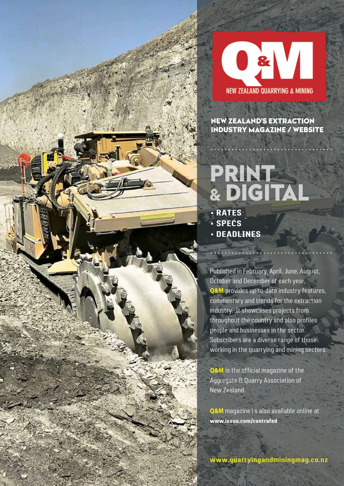

NEW ZEALAND'S EXTRACTION INDUSTRY MAGAZINE / WEBSITE

# PRINT & DIGITAL

**• RATES • SPECS • DEADLINES**

. . . . . . . . . . . . .

Published in February, April, June, August, October and December of each year, **Q&M** provides up-to-date industry features, commentary and trends for the extraction industry. It showcases projects from throughout the country and also profiles people and businesses in the sector. Subscribers are a diverse range of those working in the quarrying and mining sectors.

**Q&M** is the official magazine of the Aggregate & Quarry Association of New Zealand.

**Q&M** magazine i s also available online at **www.issuu.com/contrafed**

**www.quarryingandminingmag.co.nz**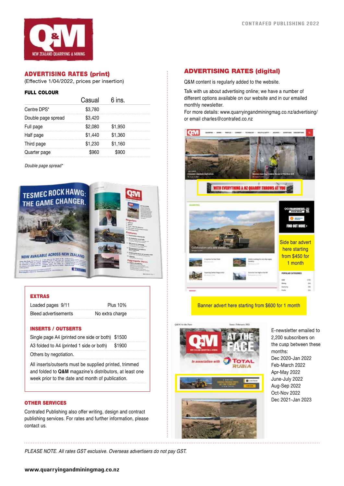

#### ADVERTISING RATES (print)

(Effective 1/04/2022, prices per insertion)

#### FULL COLOUR

|                    | Casual  | 6 ins.  |  |
|--------------------|---------|---------|--|
| Centre DPS*        | \$3.780 |         |  |
| Double page spread | \$3,420 |         |  |
| Full page          | \$2,080 | \$1.950 |  |
| Half page          | \$1,440 | \$1,360 |  |
| Third page         | \$1.230 | \$1,160 |  |
| Quarter page       | \$960   | \$900   |  |

*Double page spread\**



#### EXTRAS

Loaded pages  $9/11$  Plus 10% Bleed advertisements No extra charge

#### INSERTS / OUTSERTS

| Single page A4 (printed one side or both) \$1500 |        |
|--------------------------------------------------|--------|
| A3 folded to A4 (printed 1 side or both)         | \$1900 |
| Others by negotiation.                           |        |

All inserts/outserts must be supplied printed, trimmed and folded to **Q&M** magazine's distributors, at least one week prior to the date and month of publication.

#### OTHER SERVICES

Contrafed Publishing also offer writing, design and contract publishing services. For rates and further information, please contact us.

*PLEASE NOTE. All rates GST exclusive. Overseas advertisers do not pay GST.*

#### ADVERTISING RATES (digital)

Q&M content is regularly added to the website.

Talk with us about advertising online; we have a number of different options available on our website and in our emailed monthly newsletter.

For more details: www.quarryingandminingmag.co.nz/advertising/ or email charles@contrafed.co.nz



#### Banner advert here starting from \$600 for 1 month



E-newsletter emailed to 2,200 subscribers on the cusp between these months: Dec 2020-Jan 2022 Feb-March 2022 Apr-May 2022 June-July 2022 Aug-Sep 2022 Oct-Nov 2022 Dec 2021-Jan 2023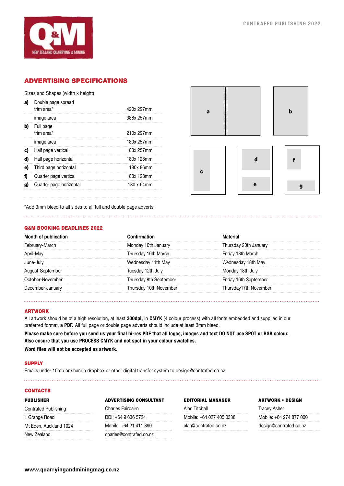

#### ADVERTISING SPECIFICATIONS

Sizes and Shapes (width x height)

| a) | Double page spread<br>trim area* | 420x 297mm |
|----|----------------------------------|------------|
|    | image area                       | 388x 257mm |
| b) | Full page<br>trim area*          | 210x 297mm |
|    | image area                       | 180x 257mm |
| c) | Half page vertical               | 88x 257mm  |
| d) | Half page horizontal             | 180x 128mm |
| e) | Third page horizontal            | 180x 86mm  |
| f) | Quarter page vertical            | 88x 128mm  |
| g) | Quarter page horizontal          | 180 x 64mm |
|    |                                  |            |

\*Add 3mm bleed to all sides to all full and double page adverts

#### Q&M BOOKING DEADLINES 2022

| Month of publication | Confirmation           | Material              |  |
|----------------------|------------------------|-----------------------|--|
| February-March       | Monday 10th January    | Thursday 20th January |  |
| April-May            | Thursday 10th March    | Friday 18th March     |  |
| June-July            | Wednesday 11th May     | Wednesday 18th May    |  |
| August-September     | Tuesday 12th July      | Monday 18th July      |  |
| October-November     | Thursday 8th September | Friday 16th September |  |
| December-January     | Thursday 10th November | Thursday17th November |  |
|                      |                        |                       |  |

#### ARTWORK

All artwork should be of a high resolution, at least **300dpi**, in **CMYK** (4 colour process) with all fonts embedded and supplied in our preferred format, **a PDF.** All full page or double page adverts should include at least 3mm bleed.

**Please make sure before you send us your final hi-res PDF that all logos, images and text DO NOT use SPOT or RGB colour. Also ensure that you use PROCESS CMYK and not spot in your colour swatches. Word files will not be accepted as artwork.**

#### **SUPPLY**

Emails under 10mb or share a dropbox or other digital transfer system to design@contrafed.co.nz

#### **CONTACTS**

| <b>PUBLISHER</b>       | <b>ADVERTISING CONSULTANT</b> | <b>EDITORIAL MANAGER</b> | <b>ARTWORK • DESIGN</b> |
|------------------------|-------------------------------|--------------------------|-------------------------|
| Contrafed Publishing   | Charles Fairbairn             | Alan Titchall            | Tracey Asher            |
| 1 Grange Road          | DDI: +64 9 636 5724           | Mobile: +64 027 405 0338 | Mobile: +64 274 877 000 |
| Mt Eden, Auckland 1024 | Mobile: +64 21 411 890        | alan@contrafed.co.nz     | design@contrafed.co.nz  |
| New Zealand            | charles@contrafed.co.nz       |                          |                         |